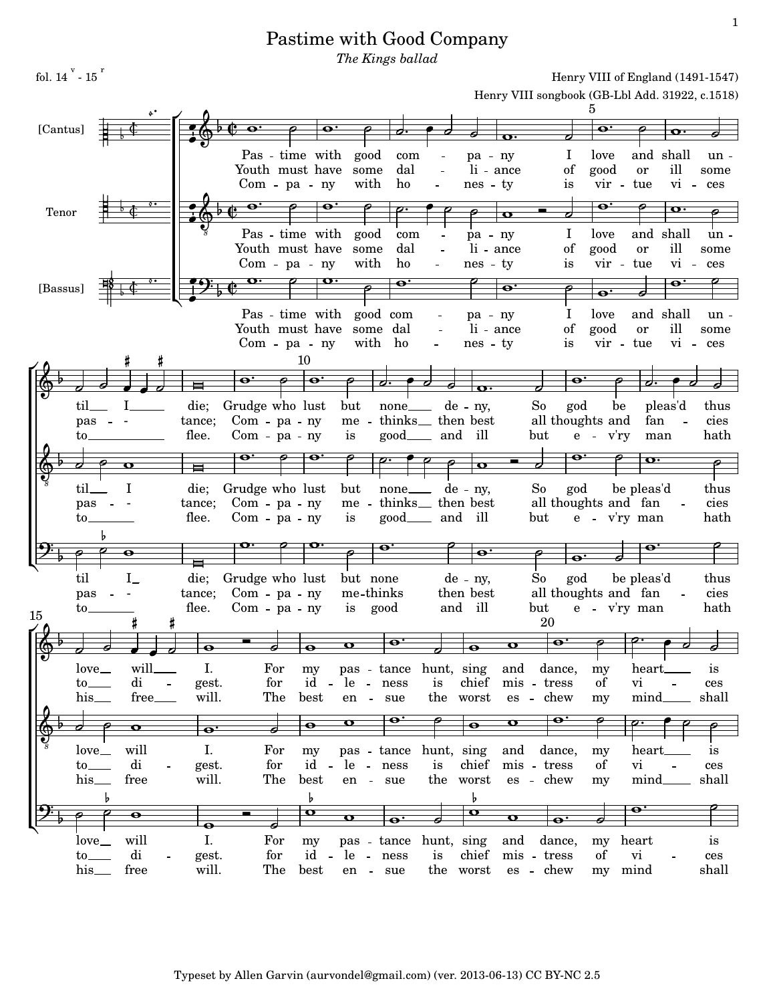## Pastime with Good Company

*The Kings ballad*

|          | fol. $14 - 15$     |                         |                           |                          |              |                   |                       |                         |                             |             |                  |                          |                           |                           |                      |                                  | Henry VIII of England (1491-1547)               |      |
|----------|--------------------|-------------------------|---------------------------|--------------------------|--------------|-------------------|-----------------------|-------------------------|-----------------------------|-------------|------------------|--------------------------|---------------------------|---------------------------|----------------------|----------------------------------|-------------------------------------------------|------|
|          |                    |                         |                           |                          |              |                   |                       |                         |                             |             |                  |                          |                           |                           |                      |                                  | Henry VIII songbook (GB-Lbl Add. 31922, c.1518) |      |
|          |                    |                         |                           |                          |              |                   |                       |                         |                             |             |                  |                          |                           | h,                        |                      |                                  |                                                 |      |
| [Cantus] |                    |                         |                           | o.                       |              |                   |                       |                         |                             |             |                  |                          |                           | $\overline{\mathbf{e}}$ : |                      |                                  |                                                 |      |
|          |                    |                         |                           |                          |              |                   |                       |                         |                             |             | െ                |                          |                           |                           |                      | o.                               |                                                 |      |
|          |                    |                         |                           | Pas - time with          |              |                   | good                  | com                     |                             | $pa - ny$   |                  |                          | $\bf{l}$                  | love                      |                      | and shall                        |                                                 | un - |
|          |                    |                         |                           | Youth must have          |              |                   | some                  | dal                     |                             |             | li - ance        |                          | of                        | good                      | <b>or</b>            | ill                              | some                                            |      |
|          |                    |                         |                           | $Com - pa - ny$          |              |                   | with                  | ho                      | $\equiv$                    | $nes - ty$  |                  |                          | is                        |                           | vir - tue            |                                  | vi - ces                                        |      |
|          |                    |                         |                           |                          |              |                   |                       |                         |                             |             |                  |                          |                           |                           |                      |                                  |                                                 |      |
| Tenor    |                    |                         |                           | o.                       |              | o.                |                       |                         |                             |             |                  |                          |                           | <del>o</del> .            |                      | $\mathbf{o} \cdot$               |                                                 |      |
|          |                    |                         |                           |                          |              |                   |                       |                         |                             |             | o                |                          |                           |                           |                      |                                  |                                                 |      |
|          |                    |                         |                           | Pas - time with          |              |                   | good                  | com                     |                             | pa - ny     |                  |                          | I                         | love                      |                      | and shall                        |                                                 | un - |
|          |                    |                         |                           | Youth must have          |              |                   | some                  | dal                     |                             |             | li - ance        |                          | of                        | good                      | or                   | ill                              | some                                            |      |
|          |                    |                         |                           | $Com - pa - ny$          |              |                   | with                  | ho                      |                             | nes - ty    |                  |                          | is                        |                           | vir - tue            |                                  | vi -<br>$\cos$                                  |      |
|          |                    |                         |                           |                          |              |                   |                       |                         |                             |             |                  |                          |                           |                           |                      |                                  |                                                 |      |
| [Bassus] |                    |                         |                           |                          |              | $\mathbf{o}\cdot$ |                       | o.                      |                             |             | $\mathbf{e}$     |                          |                           | $\mathbf{e}$              |                      | o.                               |                                                 |      |
|          |                    |                         |                           |                          |              |                   |                       |                         |                             |             |                  |                          |                           |                           |                      |                                  |                                                 |      |
|          |                    |                         |                           | Pas - time with          |              |                   | good com              |                         |                             | pa - ny     |                  |                          | $\bf{l}$                  | love                      |                      | and shall                        |                                                 | un - |
|          |                    |                         |                           | Youth must have some dal |              |                   |                       |                         |                             |             | li - ance        |                          | of                        | good                      | or                   | ill                              | some                                            |      |
|          |                    |                         |                           | $Com - pa - ny$          |              |                   | with ho               |                         | $\overline{\phantom{0}}$    | nes - ty    |                  |                          | is                        |                           | vir - tue            |                                  | vi - ces                                        |      |
|          |                    |                         |                           |                          | 10           |                   |                       |                         |                             |             |                  |                          |                           |                           |                      |                                  |                                                 |      |
|          |                    |                         |                           |                          |              |                   |                       |                         |                             |             |                  |                          |                           |                           |                      |                                  |                                                 |      |
|          |                    |                         |                           | o.                       |              | o.                |                       |                         |                             |             |                  |                          |                           |                           |                      |                                  |                                                 |      |
|          |                    |                         |                           |                          |              |                   |                       |                         |                             |             |                  |                          |                           |                           |                      |                                  |                                                 |      |
|          | til                |                         | die;                      | Grudge who lust          |              | but               |                       | $none$ <sub>_____</sub> |                             | $de - ny$ , |                  | So                       | god                       |                           | be                   | pleas'd                          | thus                                            |      |
|          | pas                |                         | tance;                    | $Com - pa - ny$          |              |                   | me -                  |                         | thinks <sub>then</sub> best |             |                  | all thoughts and         |                           |                           |                      | fan                              | cies                                            |      |
|          | to.                |                         | flee.                     | Com - pa - ny            |              | is                |                       |                         | good <sub>mand</sub> ill    |             |                  | but                      |                           | $e - v'ry$                |                      | man                              | hath                                            |      |
|          |                    |                         |                           |                          |              |                   |                       |                         |                             |             |                  |                          |                           |                           |                      |                                  |                                                 |      |
|          |                    | o                       |                           | o.                       | $\bullet$    |                   |                       |                         |                             |             |                  |                          | e                         |                           |                      | $\mathbf{o} \cdot$               |                                                 |      |
|          |                    |                         |                           |                          |              |                   |                       |                         |                             |             |                  |                          |                           |                           |                      |                                  |                                                 |      |
|          |                    |                         |                           |                          |              |                   |                       |                         |                             |             |                  |                          |                           |                           |                      |                                  |                                                 |      |
|          | til                | I                       | die;                      | Grudge who lust          |              | but               |                       | $none$ <sub>____</sub>  |                             | $de - ny$ , |                  | So                       | god                       |                           | be pleas'd           |                                  | thus                                            |      |
|          | pas                |                         | tance;                    | $Com$ - $pa$ - $ny$      |              |                   | me -                  |                         | thinks <sub>then</sub> best |             |                  |                          |                           |                           | all thoughts and fan |                                  | cies                                            |      |
|          | to.                |                         | flee.                     | $Com - pa - ny$          |              | 1S                |                       |                         | and                         | ill         |                  | but                      |                           |                           | e - v'ry man         |                                  | hath                                            |      |
|          |                    |                         |                           |                          |              |                   |                       | $good$ <sub>____</sub>  |                             |             |                  |                          |                           |                           |                      |                                  |                                                 |      |
|          |                    |                         |                           | $\mathbf{o}\cdot$        |              | Ċ                 |                       | o.                      |                             |             |                  |                          |                           |                           |                      | o.                               |                                                 |      |
|          |                    | Ө                       |                           |                          |              |                   |                       |                         |                             | o.          |                  |                          | $\mathbf{e}$              |                           |                      |                                  |                                                 |      |
|          |                    |                         |                           |                          |              |                   |                       |                         |                             |             |                  |                          |                           |                           |                      |                                  |                                                 |      |
|          | til                | L                       | die;                      | Grudge who lust          |              |                   | but none              |                         |                             | $de - ny$ , |                  | So                       | god                       |                           | be pleas'd           |                                  | thus                                            |      |
|          | pas                |                         | tance;                    | $Com$ - $pa$ - $ny$      |              |                   | me-thinks             |                         |                             | then best   |                  |                          |                           |                           | all thoughts and fan |                                  | cies                                            |      |
|          | to.                |                         | flee.                     | $Com - pa - ny$          |              | is                | good                  |                         |                             | and ill     |                  | but                      |                           |                           | e - v'ry man         |                                  | hath                                            |      |
| 15       |                    |                         |                           |                          |              |                   |                       |                         |                             |             |                  | 20                       |                           |                           |                      |                                  |                                                 |      |
|          |                    |                         |                           |                          |              |                   |                       |                         |                             |             |                  |                          |                           |                           |                      |                                  |                                                 |      |
| 慘        |                    |                         | $\bullet$                 | o                        | $\bullet$    | $\mathbf o$       |                       |                         |                             | $\bullet$   | o                |                          |                           |                           |                      |                                  | o                                               |      |
|          | love               | will_                   | I.                        | For                      | my           |                   |                       |                         | hunt, sing                  |             | and              | dance,                   |                           | my                        | heart.               |                                  | is                                              |      |
|          |                    | di                      | $\equiv$                  |                          | id           | $\sim$            | pas - tance           |                         | is                          |             |                  |                          |                           | of                        |                      |                                  | ces                                             |      |
|          | $\mathrm{to}$      |                         | gest.                     | for                      |              |                   | le - ness             |                         |                             | chief       |                  | mis - tress              |                           |                           | vi                   |                                  |                                                 |      |
|          | his                | $free$ <sub>____</sub>  | will.                     | The                      | best         |                   | en - sue              |                         | the worst                   |             |                  | es - chew                |                           | my                        |                      | $mind$ <sub><math>-</math></sub> | shall                                           |      |
|          |                    |                         |                           |                          | $\bullet$    | $\mathbf o$       |                       | $\mathbf{o}$ :          |                             | $\bullet$   | $\mathbf o$      | -o                       |                           |                           |                      |                                  |                                                 |      |
|          |                    | $\overline{\mathbf{o}}$ | $\overline{\mathbf{e}}$ . |                          |              |                   |                       |                         |                             |             |                  |                          |                           |                           |                      |                                  |                                                 |      |
|          | love               | will                    | I.                        | For                      | my           |                   | pas - tance           |                         | hunt, sing                  |             | and              | dance,                   |                           | my                        | heart.               |                                  | 1S                                              |      |
|          | $\rm{to}_{-}$      | di                      |                           | for                      | id           | $\sim$ $-$        | le - ness             |                         | is                          | chief       |                  | mis - tress              |                           | of                        | vi                   |                                  | ces                                             |      |
|          |                    |                         | gest.                     |                          |              |                   |                       |                         |                             |             |                  |                          |                           |                           |                      |                                  |                                                 |      |
|          | his <sub>—</sub>   | free                    | will.                     | The                      | best         |                   | en - sue              |                         | the worst                   |             |                  | es - chew                |                           | my                        |                      | $mind$ <sub>---</sub>            | shall                                           |      |
|          | b                  |                         |                           |                          | b            |                   |                       |                         |                             | b           |                  |                          |                           |                           |                      |                                  |                                                 |      |
|          |                    | $\mathbf \Theta$        |                           |                          | $\mathbf{o}$ | $\mathbf o$       |                       | $\mathbf{e}$            |                             | $\mathbf o$ | $\mathbf \sigma$ |                          | $\overline{\mathbf{e}}$ . |                           | o.                   |                                  |                                                 |      |
|          |                    |                         | $\bullet$                 |                          |              |                   |                       |                         |                             |             |                  |                          |                           |                           |                      |                                  |                                                 |      |
|          | love               | will                    | I.                        | For                      | my           |                   | pas - tance           |                         | hunt, sing                  |             | and              | dance,                   |                           |                           | my heart             |                                  | is                                              |      |
|          | $\text{to}$<br>his | di<br>free              | gest.<br>will.            | for<br>The               | best         | $id -$            | le - ness<br>en - sue |                         | is<br>the worst             | chief       |                  | mis - tress<br>es - chew |                           | of<br>my                  | vi<br>mind           |                                  | ces<br>shall                                    |      |